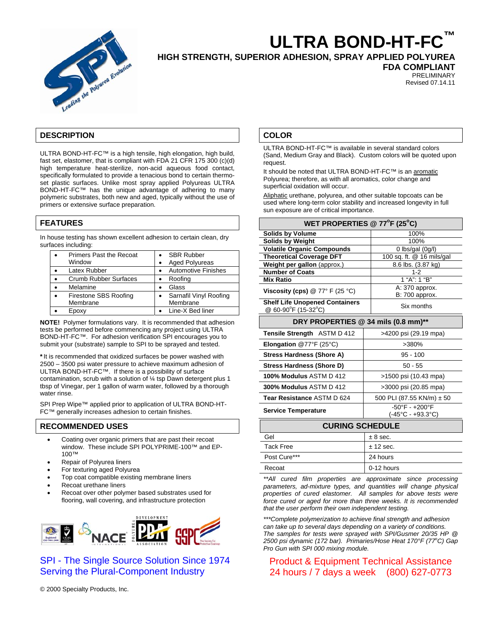

# **ULTRA BOND-HT-FC™**

**HIGH STRENGTH, SUPERIOR ADHESION, SPRAY APPLIED POLYUREA** 

**FDA COMPLIANT** 

PRELIMINARY Revised 07.14.11

## **DESCRIPTION**

ULTRA BOND-HT-FC™ is a high tensile, high elongation, high build, fast set, elastomer, that is compliant with FDA 21 CFR 175 300 (c)(d) high temperature heat-sterilize, non-acid aqueous food contact, specifically formulated to provide a tenacious bond to certain thermoset plastic surfaces. Unlike most spray applied Polyureas ULTRA BOND-HT-FC™ has the unique advantage of adhering to many polymeric substrates, both new and aged, typically without the use of primers or extensive surface preparation.

## **FEATURES**

In house testing has shown excellent adhesion to certain clean, dry surfaces including:

| Primers Past the Recoat |           | <b>SBR Rubber</b>          |
|-------------------------|-----------|----------------------------|
| Window                  | $\bullet$ | <b>Aged Polyureas</b>      |
| Latex Rubber            |           | <b>Automotive Finishes</b> |
| Crumb Rubber Surfaces   | $\bullet$ | Roofing                    |
| Melamine                | $\bullet$ | Glass                      |
| Firestone SBS Roofing   | $\bullet$ | Sarnafil Vinyl Roofing     |
| Membrane                |           | Membrane                   |
| Epoxy                   |           | Line-X Bed liner           |
|                         |           |                            |

**NOTE!** Polymer formulations vary. It is recommended that adhesion tests be performed before commencing any project using ULTRA BOND-HT-FC™. For adhesion verification SPI encourages you to submit your (substrate) sample to SPI to be sprayed and tested.

\*It is recommended that oxidized surfaces be power washed with 2500 – 3500 psi water pressure to achieve maximum adhesion of ULTRA BOND-HT-FC™. If there is a possibility of surface contamination, scrub with a solution of ¼ tsp Dawn detergent plus 1 tbsp of Vinegar, per 1 gallon of warm water, followed by a thorough water rinse.

SPI Prep Wipe™ applied prior to application of ULTRA BOND-HT-FC™ generally increases adhesion to certain finishes.

## **RECOMMENDED USES**

- Coating over organic primers that are past their recoat window. These include SPI POLYPRIME-100™ and EP-100™
- Repair of Polyurea liners
- For texturing aged Polyurea
- Top coat compatible existing membrane liners
- Recoat urethane liners
- Recoat over other polymer based substrates used for flooring, wall covering, and infrastructure protection



SPI - The Single Source Solution Since 1974 Serving the Plural-Component Industry

© 2000 Specialty Products, Inc.

#### **COLOR**

ULTRA BOND-HT-FC™ is available in several standard colors (Sand, Medium Gray and Black). Custom colors will be quoted upon request.

It should be noted that ULTRA BOND-HT-FC™ is an aromatic Polyurea; therefore, as with all aromatics, color change and superficial oxidation will occur.

Aliphatic urethane, polyurea, and other suitable topcoats can be used where long-term color stability and increased longevity in full sun exposure are of critical importance.

| WET PROPERTIES @ 77°F (25°C)                                 |                                                                         |  |  |  |
|--------------------------------------------------------------|-------------------------------------------------------------------------|--|--|--|
| <b>Solids by Volume</b>                                      | 100%                                                                    |  |  |  |
| <b>Solids by Weight</b>                                      | 100%                                                                    |  |  |  |
| <b>Volatile Organic Compounds</b>                            | 0 lbs/gal (0g/l)                                                        |  |  |  |
| <b>Theoretical Coverage DFT</b>                              | 100 sq. ft. @ 16 mils/gal                                               |  |  |  |
| Weight per gallon (approx.)                                  | 8.6 lbs. (3.87 kg)                                                      |  |  |  |
| <b>Number of Coats</b>                                       | 1-2                                                                     |  |  |  |
| <b>Mix Ratio</b>                                             | 1 "A": 1 "B"                                                            |  |  |  |
| Viscosity (cps) $@ 77° \text{ F} (25 °C)$                    | A: 370 approx.<br>B: 700 approx.                                        |  |  |  |
| <b>Shelf Life Unopened Containers</b><br>@ 60-90°F (15-32°C) | Six months                                                              |  |  |  |
| DRY PROPERTIES @ 34 mils (0.8 mm)**                          |                                                                         |  |  |  |
| Tensile Strength ASTM D 412                                  | >4200 psi (29.19 mpa)                                                   |  |  |  |
| Elongation $@77^{\circ}F(25^{\circ}C)$                       | >380%                                                                   |  |  |  |
| <b>Stress Hardness (Shore A)</b>                             | $95 - 100$                                                              |  |  |  |
| Stress Hardness (Shore D)                                    | $50 - 55$                                                               |  |  |  |
| 100% Modulus ASTM D 412                                      | >1500 psi (10.43 mpa)                                                   |  |  |  |
| 300% Modulus ASTM D 412                                      | >3000 psi (20.85 mpa)                                                   |  |  |  |
| Tear Resistance ASTM D 624                                   | 500 PLI (87.55 KN/m) ± 50                                               |  |  |  |
| <b>Service Temperature</b>                                   | $-50^{\circ}$ F - $+200^{\circ}$ F<br>$(-45^{\circ}C - +93.3^{\circ}C)$ |  |  |  |
| <b>CURING SCHEDULE</b>                                       |                                                                         |  |  |  |
| Gel                                                          | $± 8$ sec.                                                              |  |  |  |
| <b>Tack Free</b>                                             | ± 12 sec.                                                               |  |  |  |
| Post Cure***                                                 | 24 hours                                                                |  |  |  |
| Recoat                                                       | 0-12 hours                                                              |  |  |  |

*\*\*All cured film properties are approximate since processing*  parameters, ad-mixture types, and quantities will change physical *properties of cured elastomer. All samples for above tests were force cured or aged for more than three weeks. It is recommended that the user perform their own independent testing.* 

*\*\*\*Complete polymerization to achieve final strength and adhesion can take up to several days depending on a variety of conditions. The samples for tests were sprayed with SPI/Gusmer 20/35 HP @*  2500 psi dynamic (172 bar). Primaries/Hose Heat 170°F (77°C) Gap *Pro Gun with SPI 000 mixing module.* 

# Product & Equipment Technical Assistance 24 hours / 7 days a week (800) 627-0773